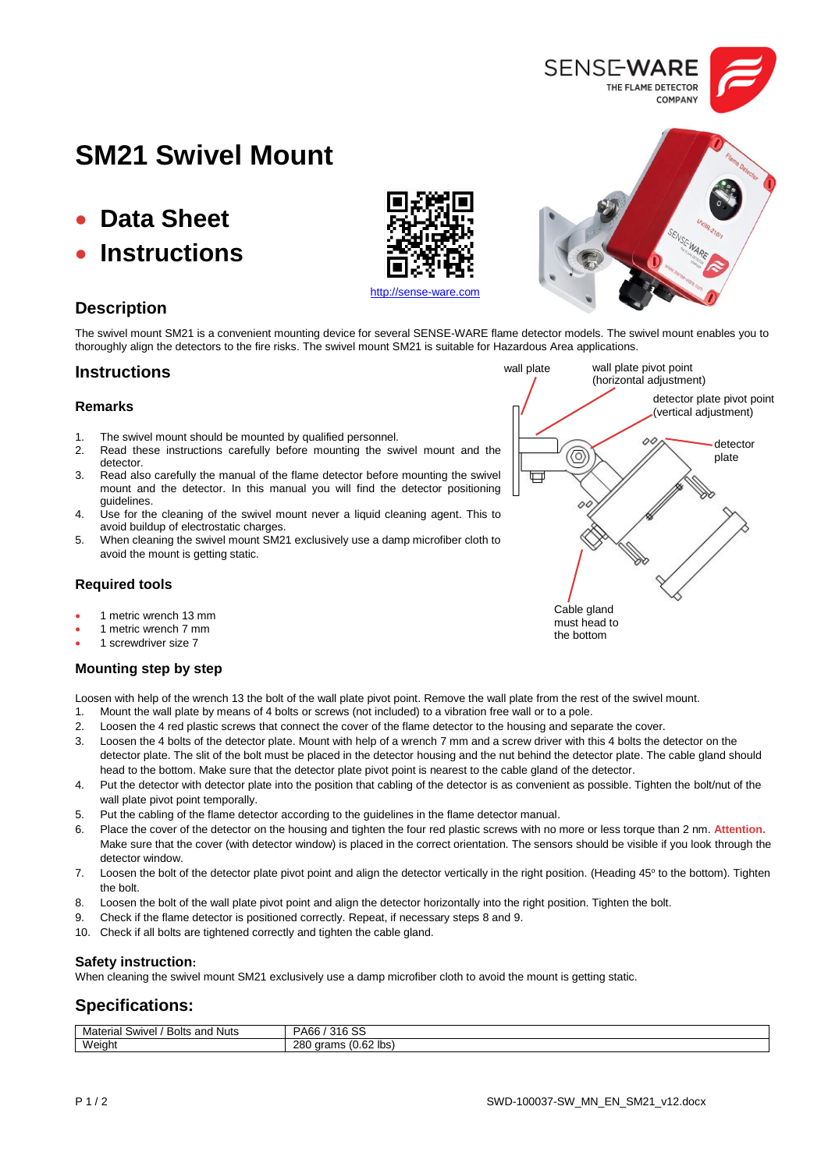

- **Data Sheet**
- **Instructions**

## **Description**

The swivel mount SM21 is a convenient mounting device for several SENSE-WARE flame detector models. The swivel mount enables you to thoroughly align the detectors to the fire risks. The swivel mount SM21 is suitable for Hazardous Area applications.

## **Instructions**

#### **Remarks**

- 1. The swivel mount should be mounted by qualified personnel.
- 2. Read these instructions carefully before mounting the swivel mount and the detector.
- 3. Read also carefully the manual of the flame detector before mounting the swivel mount and the detector. In this manual you will find the detector positioning guidelines.
- 4. Use for the cleaning of the swivel mount never a liquid cleaning agent. This to avoid buildup of electrostatic charges.
- 5. When cleaning the swivel mount SM21 exclusively use a damp microfiber cloth to avoid the mount is getting static.

### **Required tools**

- 1 metric wrench 13 mm
- 1 metric wrench 7 mm
- 1 screwdriver size 7

#### **Mounting step by step**

Loosen with help of the wrench 13 the bolt of the wall plate pivot point. Remove the wall plate from the rest of the swivel mount.

- 1. Mount the wall plate by means of 4 bolts or screws (not included) to a vibration free wall or to a pole.
- 2. Loosen the 4 red plastic screws that connect the cover of the flame detector to the housing and separate the cover.
- 3. Loosen the 4 bolts of the detector plate. Mount with help of a wrench 7 mm and a screw driver with this 4 bolts the detector on the detector plate. The slit of the bolt must be placed in the detector housing and the nut behind the detector plate. The cable gland should head to the bottom. Make sure that the detector plate pivot point is nearest to the cable gland of the detector.
- 4. Put the detector with detector plate into the position that cabling of the detector is as convenient as possible. Tighten the bolt/nut of the wall plate pivot point temporally.
- 5. Put the cabling of the flame detector according to the guidelines in the flame detector manual.
- 6. Place the cover of the detector on the housing and tighten the four red plastic screws with no more or less torque than 2 nm. **Attention.** Make sure that the cover (with detector window) is placed in the correct orientation. The sensors should be visible if you look through the detector window.
- 7. Loosen the bolt of the detector plate pivot point and align the detector vertically in the right position. (Heading 45° to the bottom). Tighten the bolt.
- 8. Loosen the bolt of the wall plate pivot point and align the detector horizontally into the right position. Tighten the bolt.
- 9. Check if the flame detector is positioned correctly. Repeat, if necessary steps 8 and 9.
- 10. Check if all bolts are tightened correctly and tighten the cable gland.

#### **Safety instruction:**

When cleaning the swivel mount SM21 exclusively use a damp microfiber cloth to avoid the mount is getting static.

## **Specifications:**

| Material<br>. Nuts<br>and<br>Bolts<br>Swivel, | $\sim$<br>316<br>PA66<br>ು                                                        |
|-----------------------------------------------|-----------------------------------------------------------------------------------|
| Weight                                        | ິ <sup>ລາ</sup> Ibs)<br>280<br>$\overline{\phantom{a}}$<br>arams<br>(0.62)<br>115 |